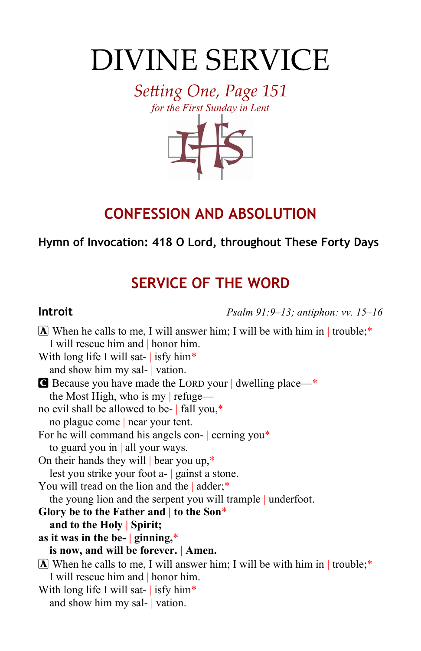# DIVINE SERVICE

*Setting One, Page 151 for the First Sunday in Lent*



# **CONFESSION AND ABSOLUTION**

## **Hymn of Invocation: 418 O Lord, throughout These Forty Days**

# **SERVICE OF THE WORD**

**Introit** *Psalm 91:9–13; antiphon: vv. 15–16*

 $\bf{A}$  When he calls to me, I will answer him; I will be with him in | trouble;\* I will rescue him and | honor him. With long life I will sat- isfy him\* and show him my sal- | vation. C Because you have made the LORD your | dwelling place—\* the Most High, who is my | refuge no evil shall be allowed to be- | fall you,\* no plague come | near your tent. For he will command his angels con- cerning you\* to guard you in | all your ways. On their hands they will | bear you up,\* lest you strike your foot a- | gainst a stone. You will tread on the lion and the | adder;\* the young lion and the serpent you will trample | underfoot. **Glory be to the Father and | to the Son**\* **and to the Holy | Spirit; as it was in the be- | ginning,**\* **is now, and will be forever. | Amen.**  $\bf{A}$  When he calls to me, I will answer him; I will be with him in | trouble;\* I will rescue him and | honor him. With long life I will sat-  $\frac{1}{1}$  isfy him\* and show him my sal- | vation.